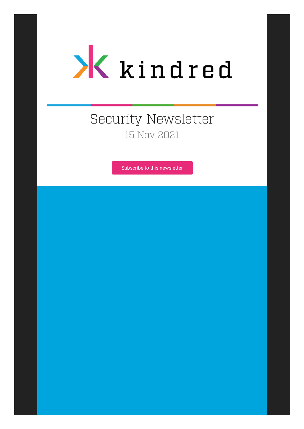

# Security Newsletter 15 Nov 2021

[Subscribe to this newsletter](https://news.infosecgur.us/register)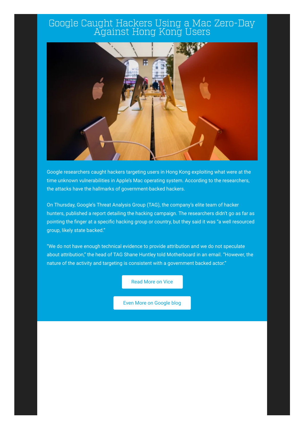### Google Caught Hackers Using a Mac Zero-Day Against Hong Kong Users



Google researchers caught hackers targeting users in Hong Kong exploiting what were at the time unknown vulnerabilities in Apple's Mac operating system. According to the researchers, the attacks have the hallmarks of government-backed hackers.

On Thursday, Google's Threat Analysis Group (TAG), the company's elite team of hacker hunters, published a report detailing the hacking campaign. The researchers didn't go as far as pointing the finger at a specific hacking group or country, but they said it was "a well resourced group, likely state backed."

"We do not have enough technical evidence to provide attribution and we do not speculate about attribution," the head of TAG Shane Huntley told Motherboard in an email. "However, the nature of the activity and targeting is consistent with a government backed actor."

[Read More on Vice](https://www.vice.com/en/article/93bw8y/google-caught-hackers-using-a-mac-zero-day-against-hong-kong-users)

[Even More on Google blog](https://blog.google/threat-analysis-group/analyzing-watering-hole-campaign-using-macos-exploits/)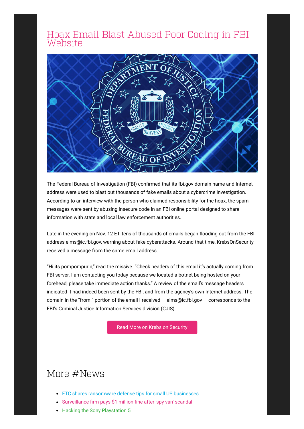#### Hoax Email Blast Abused Poor Coding in FBI **Website**



The Federal Bureau of Investigation (FBI) confirmed that its fbi.gov domain name and Internet address were used to blast out thousands of fake emails about a cybercrime investigation. According to an interview with the person who claimed responsibility for the hoax, the spam messages were sent by abusing insecure code in an FBI online portal designed to share information with state and local law enforcement authorities.

Late in the evening on Nov. 12 ET, tens of thousands of emails began flooding out from the FBI address eims@ic.fbi.gov, warning about fake cyberattacks. Around that time, KrebsOnSecurity received a message from the same email address.

"Hi its pompompurin," read the missive. "Check headers of this email it's actually coming from FBI server. I am contacting you today because we located a botnet being hosted on your forehead, please take immediate action thanks." A review of the email's message headers indicated it had indeed been sent by the FBI, and from the agency's own Internet address. The domain in the "from:" portion of the email I received — eims@ic.fbi.gov — corresponds to the FBI's Criminal Justice Information Services division (CJIS).

[Read More on Krebs on Security](https://krebsonsecurity.com/2021/11/hoax-email-blast-abused-poor-coding-in-fbi-website/)

# More #News

- [FTC shares ransomware defense tips for small US businesses](https://www.bleepingcomputer.com/news/security/ftc-shares-ransomware-defense-tips-for-small-us-businesses/)
- [Surveillance firm pays \\$1 million fine after 'spy van' scandal](https://www.bleepingcomputer.com/news/security/surveillance-firm-pays-1-million-fine-after-spy-van-scandal/)
- [Hacking the Sony Playstation 5](https://www.schneier.com/blog/archives/2021/11/hacking-the-sony-playstation-5.html)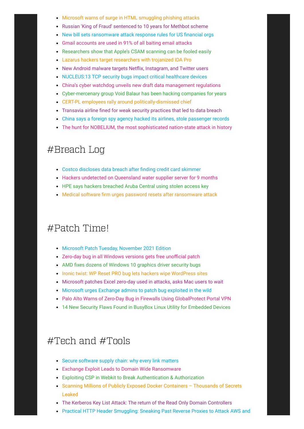- [Microsoft warns of surge in HTML smuggling phishing attacks](https://www.bleepingcomputer.com/news/security/microsoft-warns-of-surge-in-html-smuggling-phishing-attacks/)
- [Russian 'King of Fraud' sentenced to 10 years for Methbot scheme](https://www.bleepingcomputer.com/news/legal/russian-king-of-fraud-sentenced-to-10-years-for-methbot-scheme/)
- [New bill sets ransomware attack response rules for US financial orgs](https://www.bleepingcomputer.com/news/security/new-bill-sets-ransomware-attack-response-rules-for-us-financial-orgs/)
- [Gmail accounts are used in 91% of all baiting email attacks](https://www.bleepingcomputer.com/news/security/gmail-accounts-are-used-in-91-percent-of-all-baiting-email-attacks/)
- [Researchers show that Apple's CSAM scanning can be fooled easily](https://www.bleepingcomputer.com/news/technology/researchers-show-that-apple-s-csam-scanning-can-be-fooled-easily/)
- [Lazarus hackers target researchers with trojanized IDA Pro](https://www.bleepingcomputer.com/news/security/lazarus-hackers-target-researchers-with-trojanized-ida-pro/)
- [New Android malware targets Netflix, Instagram, and Twitter users](https://www.bleepingcomputer.com/news/security/new-android-malware-targets-netflix-instagram-and-twitter-users/)
- [NUCLEUS:13 TCP security bugs impact critical healthcare devices](https://www.bleepingcomputer.com/news/security/nucleus-13-tcp-security-bugs-impact-critical-healthcare-devices/)
- [China's cyber watchdog unveils new draft data management regulations](https://therecord.media/chinaa-cyber-watchdog-unveils-new-draft-data-management-regulations/)
- [Cyber-mercenary group Void Balaur has been hacking companies for years](https://therecord.media/cyber-mercenary-group-void-balaur-has-been-hacking-companies-for-years/)
- [CERT-PL employees rally around politically-dismissed chief](https://therecord.media/cert-pl-employees-rally-around-politically-dismissed-chief/)
- [Transavia airline fined for weak security practices that led to data breach](https://therecord.media/transavia-airline-fined-for-weak-security-practices-that-led-to-data-breach/)
- [China says a foreign spy agency hacked its airlines, stole passenger records](https://therecord.media/china-says-a-foreign-spy-agency-hacked-its-airlines-stole-passenger-records/)
- [The hunt for NOBELIUM, the most sophisticated nation-state attack in history](https://www.microsoft.com/security/blog/2021/11/10/the-hunt-for-nobelium-the-most-sophisticated-nation-state-attack-in-history/)

# #Breach Log

- [Costco discloses data breach after finding credit card skimmer](https://www.bleepingcomputer.com/news/security/costco-discloses-data-breach-after-finding-credit-card-skimmer/)
- [Hackers undetected on Queensland water supplier server for 9 months](https://www.bleepingcomputer.com/news/security/hackers-undetected-on-queensland-water-supplier-server-for-9-months/)
- [HPE says hackers breached Aruba Central using stolen access key](https://www.bleepingcomputer.com/news/security/hpe-says-hackers-breached-aruba-central-using-stolen-access-key/)
- [Medical software firm urges password resets after ransomware attack](https://www.bleepingcomputer.com/news/security/medical-software-firm-urges-password-resets-after-ransomware-attack/)

### #Patch Time!

- [Microsoft Patch Tuesday, November 2021 Edition](https://krebsonsecurity.com/2021/11/microsoft-patch-tuesday-november-2021-edition/)
- [Zero-day bug in all Windows versions gets free unofficial patch](https://www.bleepingcomputer.com/news/microsoft/zero-day-bug-in-all-windows-versions-gets-free-unofficial-patch/)
- [AMD fixes dozens of Windows 10 graphics driver security bugs](https://www.bleepingcomputer.com/news/security/amd-fixes-dozens-of-windows-10-graphics-driver-security-bugs/)
- [Ironic twist: WP Reset PRO bug lets hackers wipe WordPress sites](https://www.bleepingcomputer.com/news/security/ironic-twist-wp-reset-pro-bug-lets-hackers-wipe-wordpress-sites/)
- [Microsoft patches Excel zero-day used in attacks, asks Mac users to wait](https://www.bleepingcomputer.com/news/microsoft/microsoft-patches-excel-zero-day-used-in-attacks-asks-mac-users-to-wait/)
- [Microsoft urges Exchange admins to patch bug exploited in the wild](https://www.bleepingcomputer.com/news/microsoft/microsoft-urges-exchange-admins-to-patch-bug-exploited-in-the-wild/)
- [Palo Alto Warns of Zero-Day Bug in Firewalls Using GlobalProtect Portal VPN](https://thehackernews.com/2021/11/palo-alto-warns-of-zero-day-bug-in.html)
- [14 New Security Flaws Found in BusyBox Linux Utility for Embedded Devices](https://thehackernews.com/2021/11/14-new-security-flaws-found-in-busybox.html)

## #Tech and #Tools

- [Secure software supply chain: why every link matters](https://sysdig.com/blog/software-supply-chain-security/)
- [Exchange Exploit Leads to Domain Wide Ransomware](https://thedfirreport.com/2021/11/15/exchange-exploit-leads-to-domain-wide-ransomware/)
- [Exploiting CSP in Webkit to Break Authentication & Authorization](https://threatnix.io/blog/exploiting-csp-in-webkit-to-break-authentication-authorization/)
- [Scanning Millions of Publicly Exposed Docker Containers Thousands of Secrets](https://redhuntlabs.com/blog/scanning-millions-of-publicly-exposed-docker-containers-thousands-of-secrets-leaked.html) Leaked
- [The Kerberos Key List Attack: The return of the Read Only Domain Controllers](https://www.secureauth.com/blog/the-kerberos-key-list-attack-the-return-of-the-read-only-domain-controllers/)
- [Practical HTTP Header Smuggling: Sneaking Past Reverse Proxies to Attack AWS and](https://www.intruder.io/research/practical-http-header-smuggling)